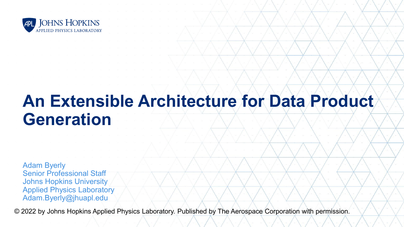

# **An Extensible Architecture for Data Product Generation**

Adam Byerly Senior Professional Staff Johns Hopkins University Applied Physics Laboratory Adam.Byerly@jhuapl.edu

© 2022 by Johns Hopkins Applied Physics Laboratory. Published by The Aerospace Corporation with permission.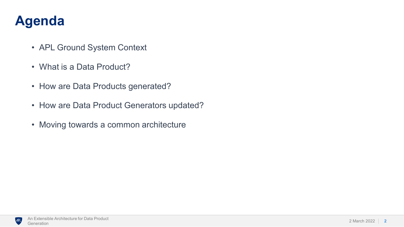## **Agenda**

- APL Ground System Context
- What is a Data Product?
- How are Data Products generated?
- How are Data Product Generators updated?
- Moving towards a common architecture

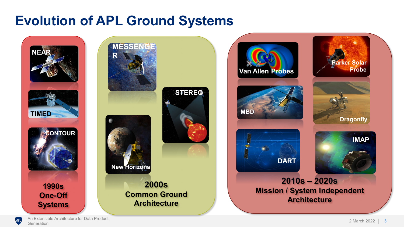#### **Evolution of APL Ground Systems**



**2000s Common Ground New Horizons STEREO MESSENGE R**

**Architecture**



 $APL$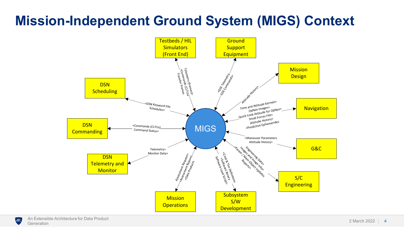# **Mission-Independent Ground System (MIGS) Context**



**APL**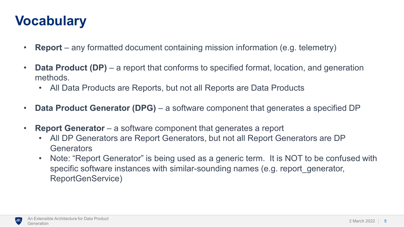## **Vocabulary**

- **Report** any formatted document containing mission information (e.g. telemetry)
- **Data Product (DP)**  a report that conforms to specified format, location, and generation methods.
	- All Data Products are Reports, but not all Reports are Data Products
- **Data Product Generator (DPG)**  a software component that generates a specified DP
- **Report Generator** a software component that generates a report
	- All DP Generators are Report Generators, but not all Report Generators are DP **Generators**
	- Note: "Report Generator" is being used as a generic term. It is NOT to be confused with specific software instances with similar-sounding names (e.g. report\_generator, ReportGenService)

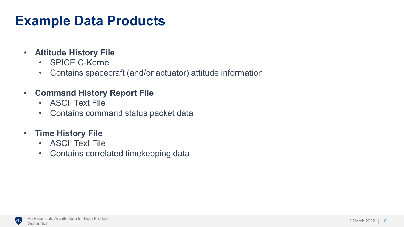## **Example Data Products**

- **Attitude History File**
	- SPICE C-Kernel
	- Contains spacecraft (and/or actuator) attitude information
- **Command History Report File**
	- ASCII Text File
	- Contains command status packet data
- **Time History File**
	- ASCII Text File
	- Contains correlated timekeeping data

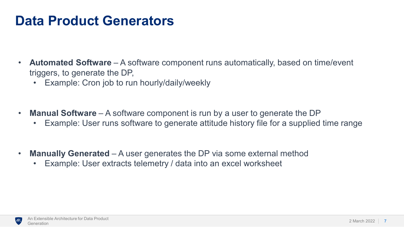#### **Data Product Generators**

- **Automated Software** A software component runs automatically, based on time/event triggers, to generate the DP,
	- Example: Cron job to run hourly/daily/weekly
- **Manual Software** A software component is run by a user to generate the DP
	- Example: User runs software to generate attitude history file for a supplied time range
- **Manually Generated**  A user generates the DP via some external method
	- Example: User extracts telemetry / data into an excel worksheet

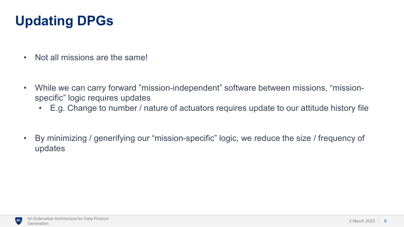# **Updating DPGs**

- Not all missions are the same!
- While we can carry forward "mission-independent" software between missions, "missionspecific" logic requires updates
	- E.g. Change to number / nature of actuators requires update to our attitude history file
- By minimizing / generifying our "mission-specific" logic, we reduce the size / frequency of updates

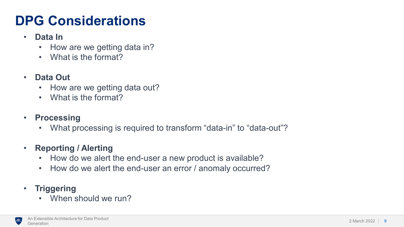# **DPG Considerations**

- **Data In**
	- How are we getting data in?
	- What is the format?
- **Data Out**
	- How are we getting data out?
	- What is the format?
- **Processing**
	- What processing is required to transform "data-in" to "data-out"?
- **Reporting / Alerting**
	- How do we alert the end-user a new product is available?
	- How do we alert the end-user an error / anomaly occurred?
- **Triggering**
	- When should we run?

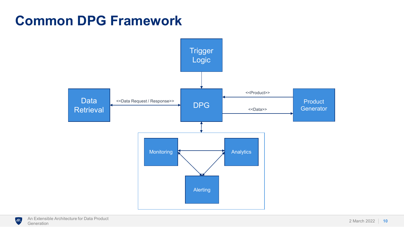#### **Common DPG Framework**



**APL**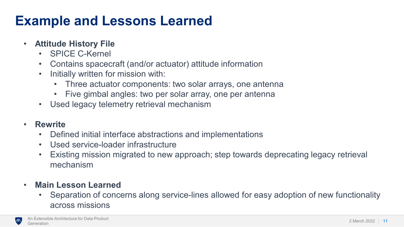# **Example and Lessons Learned**

#### • **Attitude History File**

- SPICE C-Kernel
- Contains spacecraft (and/or actuator) attitude information
- Initially written for mission with:
	- Three actuator components: two solar arrays, one antenna
	- Five gimbal angles: two per solar array, one per antenna
- Used legacy telemetry retrieval mechanism

#### • **Rewrite**

- Defined initial interface abstractions and implementations
- Used service-loader infrastructure
- Existing mission migrated to new approach; step towards deprecating legacy retrieval mechanism
- **Main Lesson Learned**
	- Separation of concerns along service-lines allowed for easy adoption of new functionality across missions